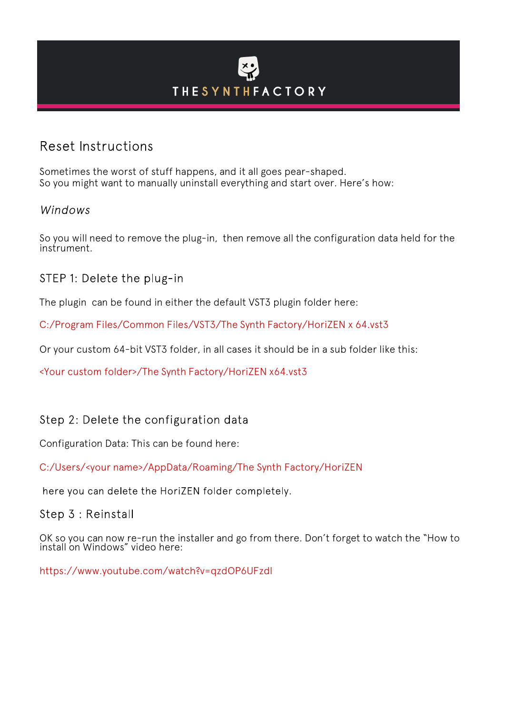## **THESYNTHFACTORY**

## Reset Instructions

Sometimes the worst of stuff happens, and it all goes pear-shaped. So you might want to manually uninstall everything and start over. Here's how:

## Windows

So you will need to remove the plug-in, then remove all the configuration data held for the instrument.

STEP 1: Delete the plug-in

The plugin can be found in either the default VST3 plugin folder here:

C:/Program Files/Common Files/VST3/The Synth Factory/HoriZEN x 64.vst3

Or your custom 64-bit VST3 folder, in all cases it should be in a sub folder like this:

<Your custom folder>/The Synth Factory/HoriZEN x64.vst3

## Step 2: Delete the configuration data

Configuration Data: This can be found here:

C:/Users/<your name>/AppData/Roaming/The Synth Factory/HoriZEN

here you can delete the HoriZEN folder completely.

Step 3 : Reinstall

OK so you can now re-run the installer and go from there. Don't forget to watch the "How to install on Windows" video here:

https://www.youtube.com/watch?v=qzdOP6UFzdI